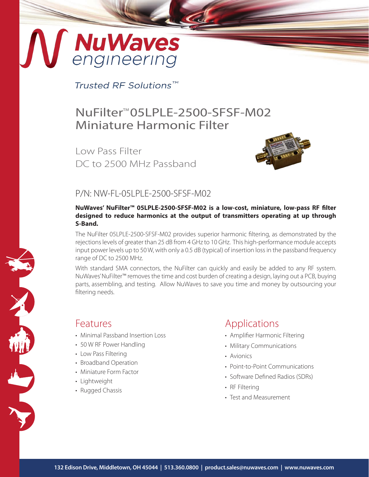# MuWaves

Trusted RF Solutions™

# NuFilter<sup>™</sup>05LPLE-2500-SFSF-M02 Miniature Harmonic Filter

Low Pass Filter DC to 2500 MHz Passband



#### P/N: NW-FL-05LPLE-2500-SFSF-M02

#### **NuWaves' NuFilter™ 05LPLE-2500-SFSF-M02 is a low-cost, miniature, low-pass RF filter designed to reduce harmonics at the output of transmitters operating at up through S-Band.**

The NuFilter 05LPLE-2500-SFSF-M02 provides superior harmonic filtering, as demonstrated by the rejections levels of greater than 25 dB from 4 GHz to 10 GHz. This high-performance module accepts input power levels up to 50 W, with only a 0.5 dB (typical) of insertion loss in the passband frequency range of DC to 2500 MHz.

With standard SMA connectors, the NuFilter can quickly and easily be added to any RF system. NuWaves' NuFilter™ removes the time and cost burden of creating a design, laying out a PCB, buying parts, assembling, and testing. Allow NuWaves to save you time and money by outsourcing your filtering needs.

#### Features

- Minimal Passband Insertion Loss
- 50 W RF Power Handling
- Low Pass Filtering
- Broadband Operation
- Miniature Form Factor
- Lightweight
- Rugged Chassis

## Applications

- Amplifier Harmonic Filtering
- Military Communications
- Avionics
- Point-to-Point Communications
- Software Defined Radios (SDRs)
- RF Filtering
- Test and Measurement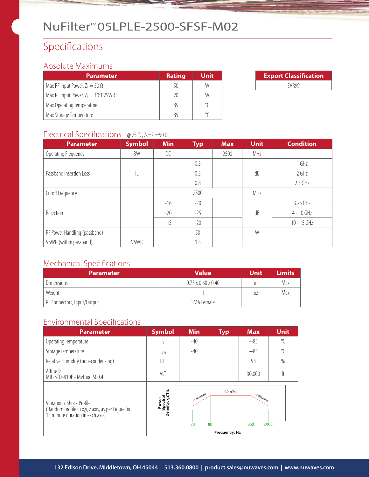# NuFilter<sup>™</sup>05LPLE-2500-SFSF-M02

# Specifications

#### Absolute Maximums

| <b>Parameter</b>                      | <b>Rating</b> | Unit |
|---------------------------------------|---------------|------|
| Max RF Input Power, $Z_L = 50 \Omega$ | 50            | W    |
| Max RF Input Power, $Z_L = 10:1$ VSWR | 20            | W    |
| Max Operating Temperature             | 85            |      |
| Max Storage Temperature               | 85            |      |

| <b>Export Classification</b> |  |
|------------------------------|--|
| FAR99                        |  |

#### Electrical Specifications @ 25 °C,  $Z_S = Z_I = 50 \Omega$

| <b>Parameter</b>             | <b>Symbol</b> | <b>Min</b> | <b>Typ</b> | <b>Max</b> | <b>Unit</b> | <b>Condition</b> |
|------------------------------|---------------|------------|------------|------------|-------------|------------------|
| Operating Frequency          | BW            | DC         |            | 2500       | MHz         |                  |
| Passband Insertion Loss      |               |            | 0.3        |            |             | 1 GHz            |
|                              | IL            |            | 0.3        |            | dB          | 2 GHz            |
|                              |               |            | 0.8        |            |             | $2.5$ GHz        |
| Cutoff Frequency             |               |            | 2500       |            | MHz         |                  |
|                              |               | $-16$      | $-20$      |            |             | 3.25 GHz         |
| Rejection                    |               | $-20$      | $-25$      |            | dB          | $4 - 10$ GHz     |
|                              |               | $-15$      | $-20$      |            |             | $10 - 15$ GHz    |
| RF Power Handling (passband) |               |            | 50         |            | W           |                  |
| VSWR (within passband)       | <b>VSWR</b>   |            | 1.5        |            |             |                  |

#### Mechanical Specifications

| <b>Parameter</b>            | <b>Value</b>                   | <b>Unit</b> | <b>Limits</b> |
|-----------------------------|--------------------------------|-------------|---------------|
| <b>Dimensions</b>           | $0.75 \times 0.68 \times 0.40$ | ın          | Max           |
| Weight                      |                                | 0Z          | Max           |
| RF Connectors, Input/Output | SMA Female                     |             |               |

#### Environmental Specifications

| <b>Parameter</b>                                                                                                   | <b>Symbol</b>                       | <b>Min</b>                      | <b>Typ</b>                            | <b>Max</b>                 | <b>Unit</b> |
|--------------------------------------------------------------------------------------------------------------------|-------------------------------------|---------------------------------|---------------------------------------|----------------------------|-------------|
| Operating Temperature                                                                                              | Τc                                  | $-40$                           |                                       | $+85$                      | $\circ$     |
| Storage Temperature                                                                                                | Tstg                                | $-40$                           |                                       | $+85$                      | $\sqrt{\ }$ |
| Relative Humidity (non-condensing)                                                                                 | RH                                  |                                 |                                       | 95                         | $\%$        |
| Altitude<br>MIL-STD-810F - Method 500.4                                                                            | ALT                                 |                                 |                                       | 30,000                     | ft          |
| Vibration / Shock Profile<br>(Random profile in x,y, z axis, as per Figure for<br>15 minute duration in each axis) | Power<br>Spectral<br>Density, g2/Hz | +3 dBloctave<br>$\overline{20}$ | $0.04 g^2$ /Hz<br>80<br>Frequency, Hz | 3 dB/octave<br>2000<br>350 |             |